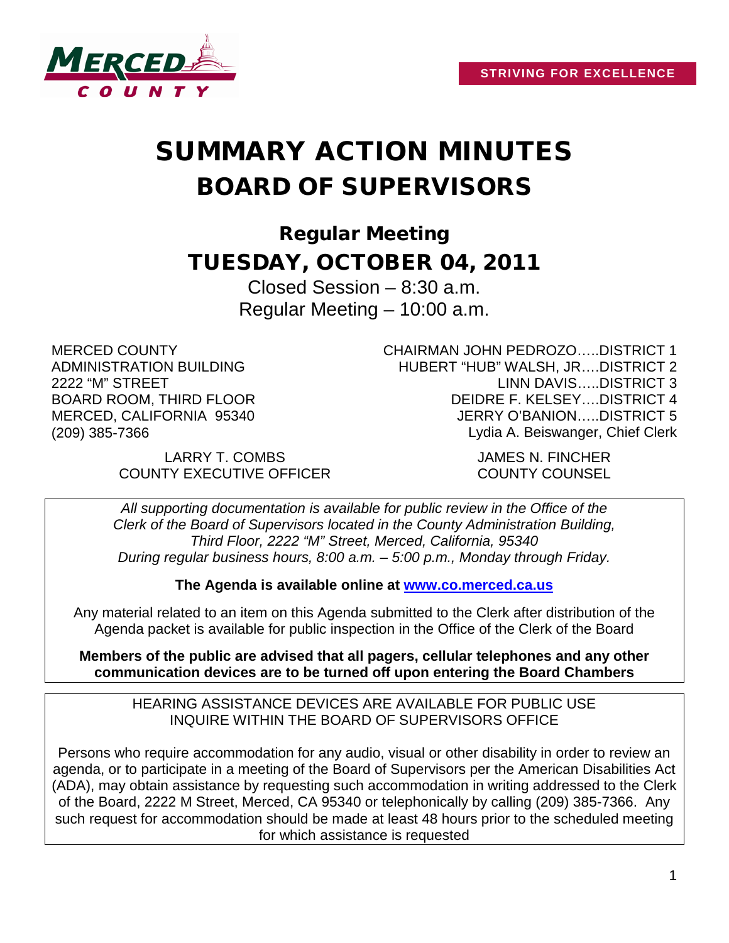

# SUMMARY ACTION MINUTES BOARD OF SUPERVISORS

Regular Meeting TUESDAY, OCTOBER 04, 2011

> Closed Session – 8:30 a.m. Regular Meeting – 10:00 a.m.

MERCED COUNTY ADMINISTRATION BUILDING 2222 "M" STREET BOARD ROOM, THIRD FLOOR MERCED, CALIFORNIA 95340 (209) 385-7366

CHAIRMAN JOHN PEDROZO…..DISTRICT 1 HUBERT "HUB" WALSH, JR….DISTRICT 2 LINN DAVIS…..DISTRICT 3 DEIDRE F. KELSEY….DISTRICT 4 JERRY O'BANION…..DISTRICT 5 Lydia A. Beiswanger, Chief Clerk

LARRY T. COMBS JAMES N. FINCHER COUNTY EXECUTIVE OFFICER COUNTY COUNSEL

*All supporting documentation is available for public review in the Office of the Clerk of the Board of Supervisors located in the County Administration Building, Third Floor, 2222 "M" Street, Merced, California, 95340 During regular business hours, 8:00 a.m. – 5:00 p.m., Monday through Friday.*

**The Agenda is available online at [www.co.merced.ca.us](http://www.co.merced.ca.us/)**

Any material related to an item on this Agenda submitted to the Clerk after distribution of the Agenda packet is available for public inspection in the Office of the Clerk of the Board

**Members of the public are advised that all pagers, cellular telephones and any other communication devices are to be turned off upon entering the Board Chambers**

HEARING ASSISTANCE DEVICES ARE AVAILABLE FOR PUBLIC USE INQUIRE WITHIN THE BOARD OF SUPERVISORS OFFICE

Persons who require accommodation for any audio, visual or other disability in order to review an agenda, or to participate in a meeting of the Board of Supervisors per the American Disabilities Act (ADA), may obtain assistance by requesting such accommodation in writing addressed to the Clerk of the Board, 2222 M Street, Merced, CA 95340 or telephonically by calling (209) 385-7366. Any such request for accommodation should be made at least 48 hours prior to the scheduled meeting for which assistance is requested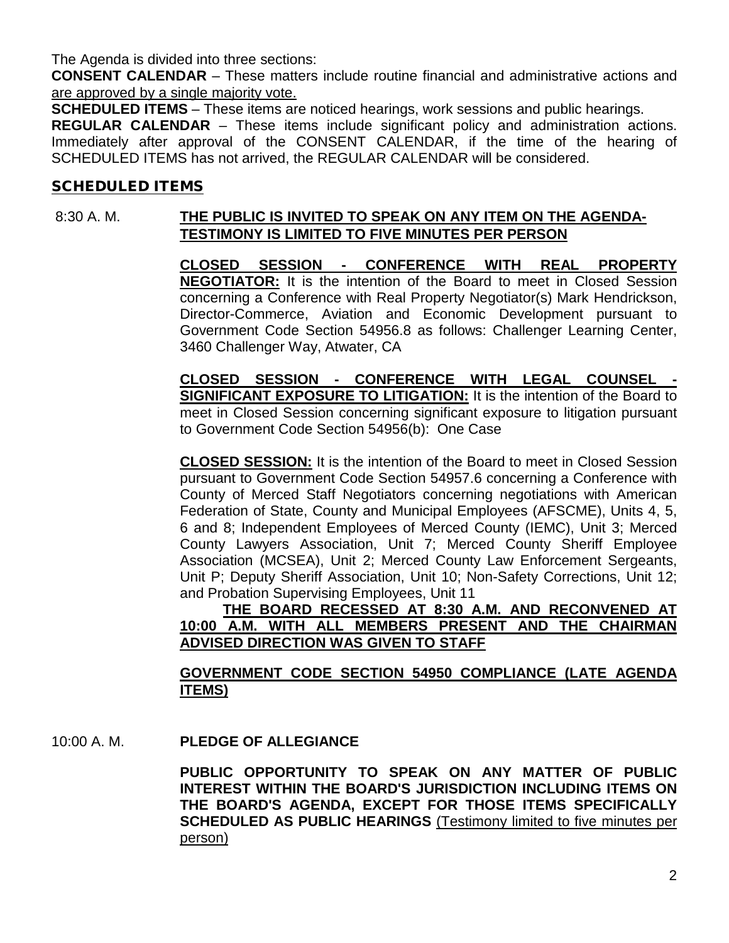The Agenda is divided into three sections:

**CONSENT CALENDAR** – These matters include routine financial and administrative actions and are approved by a single majority vote.

**SCHEDULED ITEMS** – These items are noticed hearings, work sessions and public hearings.

**REGULAR CALENDAR** – These items include significant policy and administration actions. Immediately after approval of the CONSENT CALENDAR, if the time of the hearing of SCHEDULED ITEMS has not arrived, the REGULAR CALENDAR will be considered.

## SCHEDULED ITEMS

# 8:30 A. M. **THE PUBLIC IS INVITED TO SPEAK ON ANY ITEM ON THE AGENDA-TESTIMONY IS LIMITED TO FIVE MINUTES PER PERSON**

**CLOSED SESSION - CONFERENCE WITH REAL PROPERTY NEGOTIATOR:** It is the intention of the Board to meet in Closed Session concerning a Conference with Real Property Negotiator(s) Mark Hendrickson, Director-Commerce, Aviation and Economic Development pursuant to Government Code Section 54956.8 as follows: Challenger Learning Center, 3460 Challenger Way, Atwater, CA

**CLOSED SESSION - CONFERENCE WITH LEGAL COUNSEL - SIGNIFICANT EXPOSURE TO LITIGATION:** It is the intention of the Board to meet in Closed Session concerning significant exposure to litigation pursuant to Government Code Section 54956(b): One Case

**CLOSED SESSION:** It is the intention of the Board to meet in Closed Session pursuant to Government Code Section 54957.6 concerning a Conference with County of Merced Staff Negotiators concerning negotiations with American Federation of State, County and Municipal Employees (AFSCME), Units 4, 5, 6 and 8; Independent Employees of Merced County (IEMC), Unit 3; Merced County Lawyers Association, Unit 7; Merced County Sheriff Employee Association (MCSEA), Unit 2; Merced County Law Enforcement Sergeants, Unit P; Deputy Sheriff Association, Unit 10; Non-Safety Corrections, Unit 12; and Probation Supervising Employees, Unit 11

**THE BOARD RECESSED AT 8:30 A.M. AND RECONVENED AT 10:00 A.M. WITH ALL MEMBERS PRESENT AND THE CHAIRMAN ADVISED DIRECTION WAS GIVEN TO STAFF**

#### **GOVERNMENT CODE SECTION 54950 COMPLIANCE (LATE AGENDA ITEMS)**

10:00 A. M. **PLEDGE OF ALLEGIANCE**

**PUBLIC OPPORTUNITY TO SPEAK ON ANY MATTER OF PUBLIC INTEREST WITHIN THE BOARD'S JURISDICTION INCLUDING ITEMS ON THE BOARD'S AGENDA, EXCEPT FOR THOSE ITEMS SPECIFICALLY SCHEDULED AS PUBLIC HEARINGS** (Testimony limited to five minutes per person)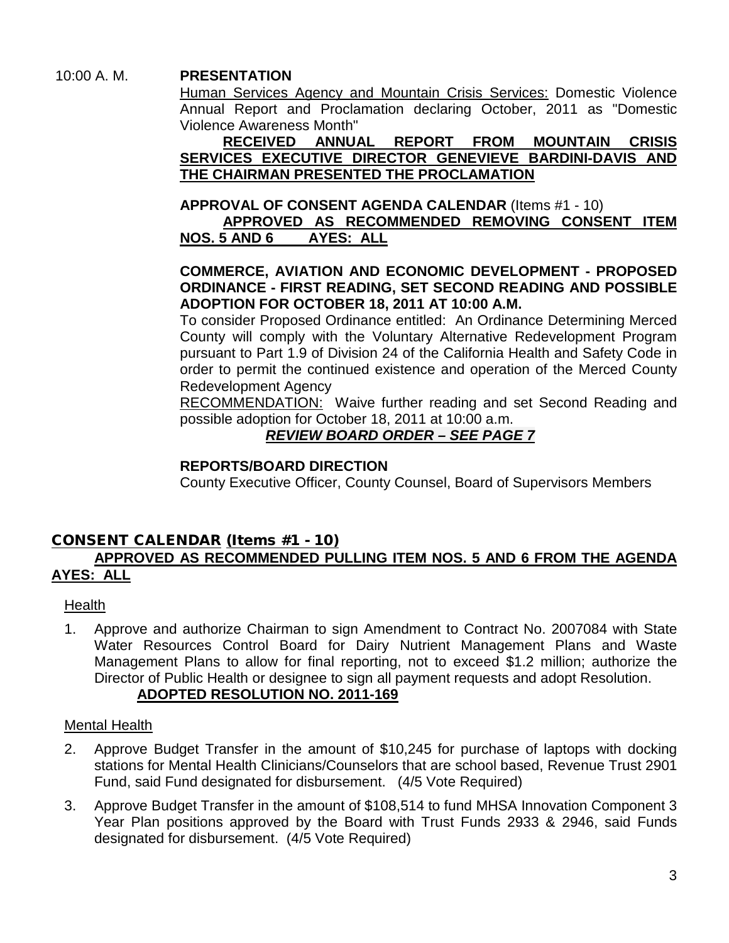10:00 A. M. **PRESENTATION** 

Human Services Agency and Mountain Crisis Services: Domestic Violence Annual Report and Proclamation declaring October, 2011 as "Domestic Violence Awareness Month"

**RECEIVED ANNUAL REPORT FROM MOUNTAIN CRISIS SERVICES EXECUTIVE DIRECTOR GENEVIEVE BARDINI-DAVIS AND THE CHAIRMAN PRESENTED THE PROCLAMATION**

**APPROVAL OF CONSENT AGENDA CALENDAR** (Items #1 - 10)

**APPROVED AS RECOMMENDED REMOVING CONSENT ITEM NOS. 5 AND 6** 

**COMMERCE, AVIATION AND ECONOMIC DEVELOPMENT - PROPOSED ORDINANCE - FIRST READING, SET SECOND READING AND POSSIBLE ADOPTION FOR OCTOBER 18, 2011 AT 10:00 A.M.**

To consider Proposed Ordinance entitled: An Ordinance Determining Merced County will comply with the Voluntary Alternative Redevelopment Program pursuant to Part 1.9 of Division 24 of the California Health and Safety Code in order to permit the continued existence and operation of the Merced County Redevelopment Agency

RECOMMENDATION: Waive further reading and set Second Reading and possible adoption for October 18, 2011 at 10:00 a.m.

*REVIEW BOARD ORDER – SEE PAGE 7*

# **REPORTS/BOARD DIRECTION**

County Executive Officer, County Counsel, Board of Supervisors Members

# CONSENT CALENDAR (Items #1 - 10) **APPROVED AS RECOMMENDED PULLING ITEM NOS. 5 AND 6 FROM THE AGENDA AYES: ALL**

# Health

1. Approve and authorize Chairman to sign Amendment to Contract No. 2007084 with State Water Resources Control Board for Dairy Nutrient Management Plans and Waste Management Plans to allow for final reporting, not to exceed \$1.2 million; authorize the Director of Public Health or designee to sign all payment requests and adopt Resolution.

# **ADOPTED RESOLUTION NO. 2011-169**

# Mental Health

- 2. Approve Budget Transfer in the amount of \$10,245 for purchase of laptops with docking stations for Mental Health Clinicians/Counselors that are school based, Revenue Trust 2901 Fund, said Fund designated for disbursement. (4/5 Vote Required)
- 3. Approve Budget Transfer in the amount of \$108,514 to fund MHSA Innovation Component 3 Year Plan positions approved by the Board with Trust Funds 2933 & 2946, said Funds designated for disbursement. (4/5 Vote Required)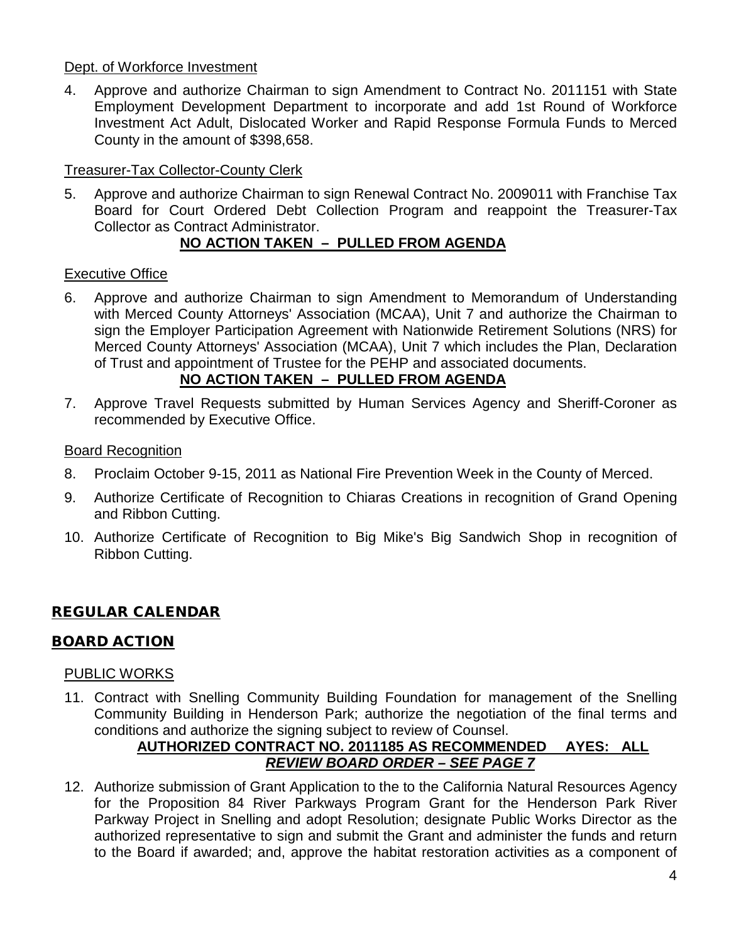#### Dept. of Workforce Investment

4. Approve and authorize Chairman to sign Amendment to Contract No. 2011151 with State Employment Development Department to incorporate and add 1st Round of Workforce Investment Act Adult, Dislocated Worker and Rapid Response Formula Funds to Merced County in the amount of \$398,658.

# Treasurer-Tax Collector-County Clerk

5. Approve and authorize Chairman to sign Renewal Contract No. 2009011 with Franchise Tax Board for Court Ordered Debt Collection Program and reappoint the Treasurer-Tax Collector as Contract Administrator.

# **NO ACTION TAKEN – PULLED FROM AGENDA**

### Executive Office

6. Approve and authorize Chairman to sign Amendment to Memorandum of Understanding with Merced County Attorneys' Association (MCAA), Unit 7 and authorize the Chairman to sign the Employer Participation Agreement with Nationwide Retirement Solutions (NRS) for Merced County Attorneys' Association (MCAA), Unit 7 which includes the Plan, Declaration of Trust and appointment of Trustee for the PEHP and associated documents.

## **NO ACTION TAKEN – PULLED FROM AGENDA**

7. Approve Travel Requests submitted by Human Services Agency and Sheriff-Coroner as recommended by Executive Office.

#### Board Recognition

- 8. Proclaim October 9-15, 2011 as National Fire Prevention Week in the County of Merced.
- 9. Authorize Certificate of Recognition to Chiaras Creations in recognition of Grand Opening and Ribbon Cutting.
- 10. Authorize Certificate of Recognition to Big Mike's Big Sandwich Shop in recognition of Ribbon Cutting.

# REGULAR CALENDAR

# BOARD ACTION

#### PUBLIC WORKS

11. Contract with Snelling Community Building Foundation for management of the Snelling Community Building in Henderson Park; authorize the negotiation of the final terms and conditions and authorize the signing subject to review of Counsel.

#### **AUTHORIZED CONTRACT NO. 2011185 AS RECOMMENDED AYES: ALL** *REVIEW BOARD ORDER – SEE PAGE 7*

12. Authorize submission of Grant Application to the to the California Natural Resources Agency for the Proposition 84 River Parkways Program Grant for the Henderson Park River Parkway Project in Snelling and adopt Resolution; designate Public Works Director as the authorized representative to sign and submit the Grant and administer the funds and return to the Board if awarded; and, approve the habitat restoration activities as a component of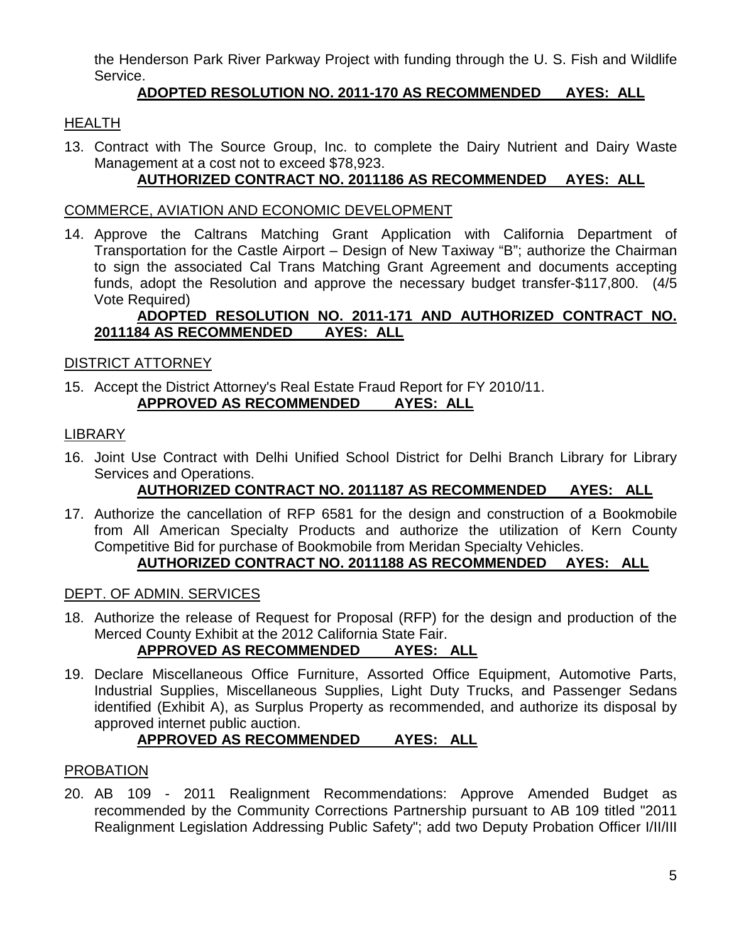the Henderson Park River Parkway Project with funding through the U. S. Fish and Wildlife Service.

# **ADOPTED RESOLUTION NO. 2011-170 AS RECOMMENDED AYES: ALL**

# **HEALTH**

13. Contract with The Source Group, Inc. to complete the Dairy Nutrient and Dairy Waste Management at a cost not to exceed \$78,923.

# **AUTHORIZED CONTRACT NO. 2011186 AS RECOMMENDED AYES: ALL**

#### COMMERCE, AVIATION AND ECONOMIC DEVELOPMENT

14. Approve the Caltrans Matching Grant Application with California Department of Transportation for the Castle Airport – Design of New Taxiway "B"; authorize the Chairman to sign the associated Cal Trans Matching Grant Agreement and documents accepting funds, adopt the Resolution and approve the necessary budget transfer-\$117,800. (4/5 Vote Required)

# **ADOPTED RESOLUTION NO. 2011-171 AND AUTHORIZED CONTRACT NO. 2011184 AS RECOMMENDED AYES: ALL**

#### DISTRICT ATTORNEY

15. Accept the District Attorney's Real Estate Fraud Report for FY 2010/11. **APPROVED AS RECOMMENDED AYES: ALL**

### LIBRARY

16. Joint Use Contract with Delhi Unified School District for Delhi Branch Library for Library Services and Operations.

# **AUTHORIZED CONTRACT NO. 2011187 AS RECOMMENDED AYES: ALL**

17. Authorize the cancellation of RFP 6581 for the design and construction of a Bookmobile from All American Specialty Products and authorize the utilization of Kern County Competitive Bid for purchase of Bookmobile from Meridan Specialty Vehicles. **AUTHORIZED CONTRACT NO. 2011188 AS RECOMMENDED AYES: ALL**

#### DEPT. OF ADMIN. SERVICES

18. Authorize the release of Request for Proposal (RFP) for the design and production of the Merced County Exhibit at the 2012 California State Fair.

# **APPROVED AS RECOMMENDED AYES: ALL**

19. Declare Miscellaneous Office Furniture, Assorted Office Equipment, Automotive Parts, Industrial Supplies, Miscellaneous Supplies, Light Duty Trucks, and Passenger Sedans identified (Exhibit A), as Surplus Property as recommended, and authorize its disposal by approved internet public auction.

# **APPROVED AS RECOMMENDED AYES: ALL**

#### PROBATION

20. AB 109 - 2011 Realignment Recommendations: Approve Amended Budget as recommended by the Community Corrections Partnership pursuant to AB 109 titled "2011 Realignment Legislation Addressing Public Safety"; add two Deputy Probation Officer I/II/III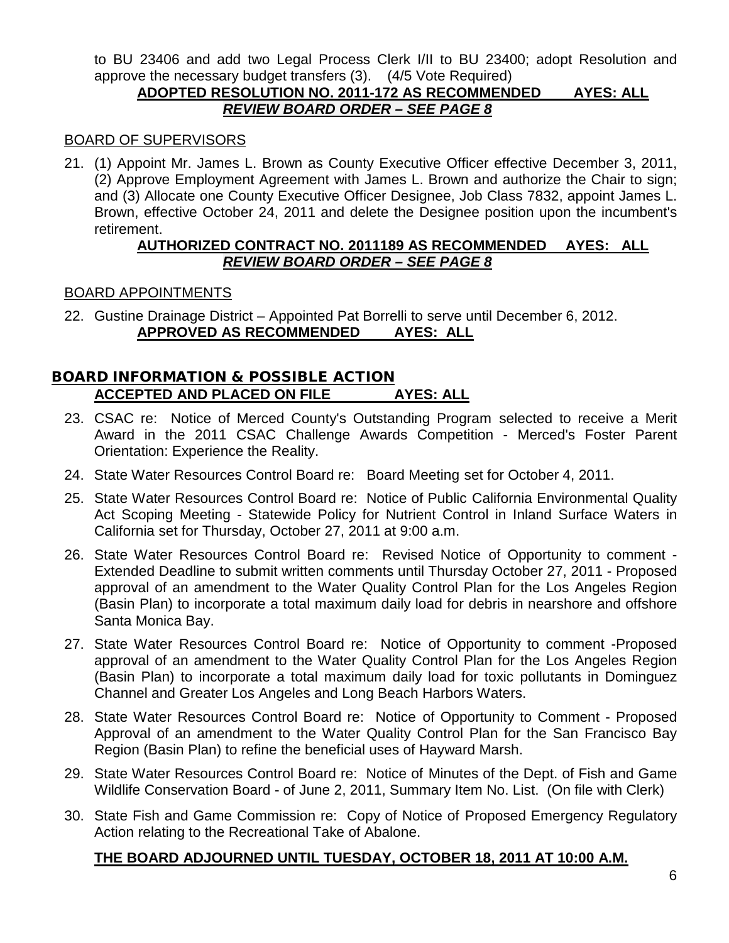to BU 23406 and add two Legal Process Clerk I/II to BU 23400; adopt Resolution and approve the necessary budget transfers (3). (4/5 Vote Required)

### **ADOPTED RESOLUTION NO. 2011-172 AS RECOMMENDED AYES: ALL** *REVIEW BOARD ORDER – SEE PAGE 8*

### BOARD OF SUPERVISORS

21. (1) Appoint Mr. James L. Brown as County Executive Officer effective December 3, 2011, (2) Approve Employment Agreement with James L. Brown and authorize the Chair to sign; and (3) Allocate one County Executive Officer Designee, Job Class 7832, appoint James L. Brown, effective October 24, 2011 and delete the Designee position upon the incumbent's retirement.

### **AUTHORIZED CONTRACT NO. 2011189 AS RECOMMENDED AYES: ALL** *REVIEW BOARD ORDER – SEE PAGE 8*

### BOARD APPOINTMENTS

22. Gustine Drainage District – Appointed Pat Borrelli to serve until December 6, 2012. **APPROVED AS RECOMMENDED AYES: ALL**

# BOARD INFORMATION & POSSIBLE ACTION **ACCEPTED AND PLACED ON FILE AYES: ALL**

- 23. CSAC re: Notice of Merced County's Outstanding Program selected to receive a Merit Award in the 2011 CSAC Challenge Awards Competition - Merced's Foster Parent Orientation: Experience the Reality.
- 24. State Water Resources Control Board re: Board Meeting set for October 4, 2011.
- 25. State Water Resources Control Board re: Notice of Public California Environmental Quality Act Scoping Meeting - Statewide Policy for Nutrient Control in Inland Surface Waters in California set for Thursday, October 27, 2011 at 9:00 a.m.
- 26. State Water Resources Control Board re: Revised Notice of Opportunity to comment Extended Deadline to submit written comments until Thursday October 27, 2011 - Proposed approval of an amendment to the Water Quality Control Plan for the Los Angeles Region (Basin Plan) to incorporate a total maximum daily load for debris in nearshore and offshore Santa Monica Bay.
- 27. State Water Resources Control Board re: Notice of Opportunity to comment -Proposed approval of an amendment to the Water Quality Control Plan for the Los Angeles Region (Basin Plan) to incorporate a total maximum daily load for toxic pollutants in Dominguez Channel and Greater Los Angeles and Long Beach Harbors Waters.
- 28. State Water Resources Control Board re: Notice of Opportunity to Comment Proposed Approval of an amendment to the Water Quality Control Plan for the San Francisco Bay Region (Basin Plan) to refine the beneficial uses of Hayward Marsh.
- 29. State Water Resources Control Board re: Notice of Minutes of the Dept. of Fish and Game Wildlife Conservation Board - of June 2, 2011, Summary Item No. List. (On file with Clerk)
- 30. State Fish and Game Commission re: Copy of Notice of Proposed Emergency Regulatory Action relating to the Recreational Take of Abalone.

# **THE BOARD ADJOURNED UNTIL TUESDAY, OCTOBER 18, 2011 AT 10:00 A.M.**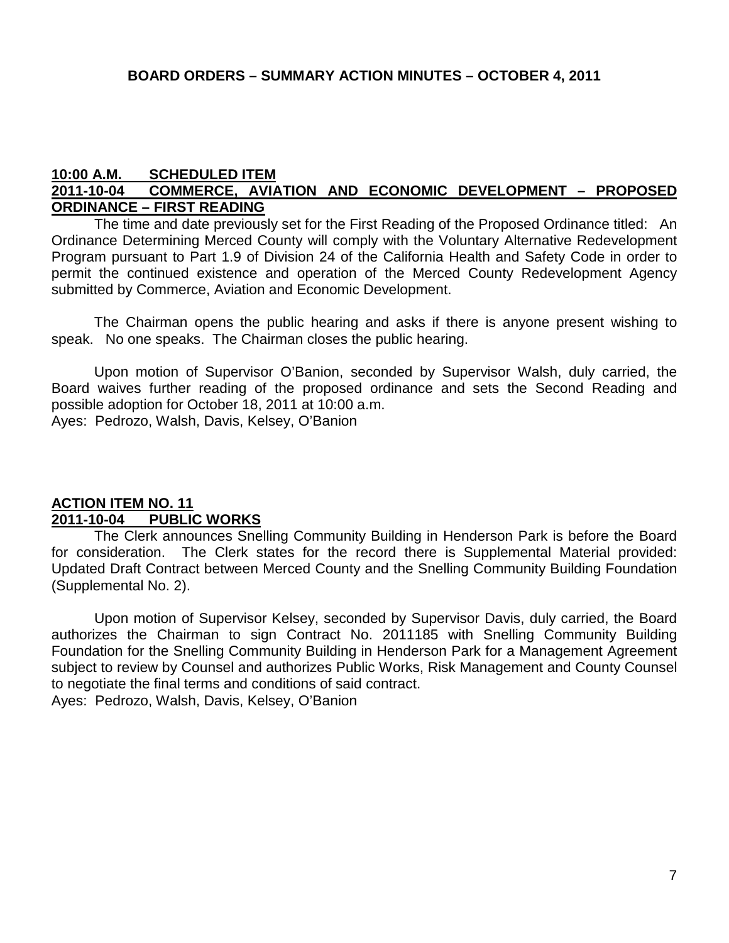#### **10:00 A.M. SCHEDULED ITEM 2011-10-04 COMMERCE, AVIATION AND ECONOMIC DEVELOPMENT – PROPOSED ORDINANCE – FIRST READING**

The time and date previously set for the First Reading of the Proposed Ordinance titled: An Ordinance Determining Merced County will comply with the Voluntary Alternative Redevelopment Program pursuant to Part 1.9 of Division 24 of the California Health and Safety Code in order to permit the continued existence and operation of the Merced County Redevelopment Agency submitted by Commerce, Aviation and Economic Development.

The Chairman opens the public hearing and asks if there is anyone present wishing to speak. No one speaks. The Chairman closes the public hearing.

Upon motion of Supervisor O'Banion, seconded by Supervisor Walsh, duly carried, the Board waives further reading of the proposed ordinance and sets the Second Reading and possible adoption for October 18, 2011 at 10:00 a.m.

Ayes: Pedrozo, Walsh, Davis, Kelsey, O'Banion

# **ACTION ITEM NO. 11 2011-10-04 PUBLIC WORKS**

The Clerk announces Snelling Community Building in Henderson Park is before the Board for consideration. The Clerk states for the record there is Supplemental Material provided: Updated Draft Contract between Merced County and the Snelling Community Building Foundation (Supplemental No. 2).

Upon motion of Supervisor Kelsey, seconded by Supervisor Davis, duly carried, the Board authorizes the Chairman to sign Contract No. 2011185 with Snelling Community Building Foundation for the Snelling Community Building in Henderson Park for a Management Agreement subject to review by Counsel and authorizes Public Works, Risk Management and County Counsel to negotiate the final terms and conditions of said contract. Ayes: Pedrozo, Walsh, Davis, Kelsey, O'Banion